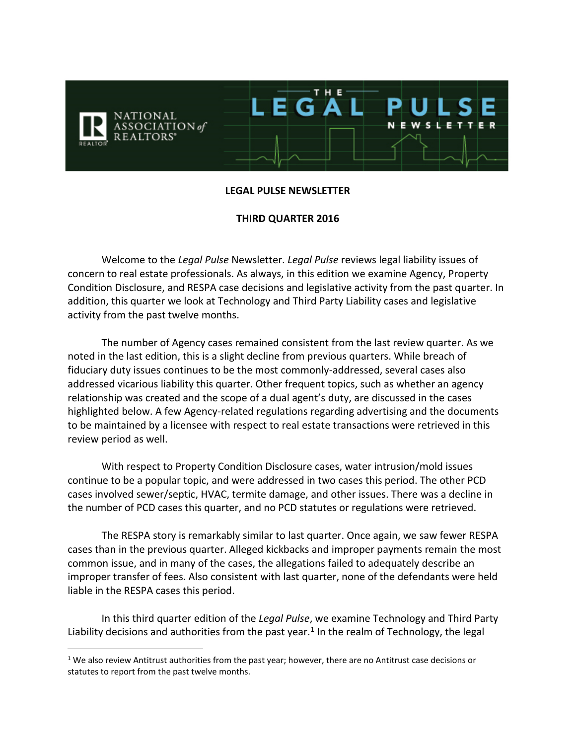

#### **LEGAL PULSE NEWSLETTER**

#### **THIRD QUARTER 2016**

Welcome to the *Legal Pulse* Newsletter. *Legal Pulse* reviews legal liability issues of concern to real estate professionals. As always, in this edition we examine Agency, Property Condition Disclosure, and RESPA case decisions and legislative activity from the past quarter. In addition, this quarter we look at Technology and Third Party Liability cases and legislative activity from the past twelve months.

The number of Agency cases remained consistent from the last review quarter. As we noted in the last edition, this is a slight decline from previous quarters. While breach of fiduciary duty issues continues to be the most commonly-addressed, several cases also addressed vicarious liability this quarter. Other frequent topics, such as whether an agency relationship was created and the scope of a dual agent's duty, are discussed in the cases highlighted below. A few Agency-related regulations regarding advertising and the documents to be maintained by a licensee with respect to real estate transactions were retrieved in this review period as well.

With respect to Property Condition Disclosure cases, water intrusion/mold issues continue to be a popular topic, and were addressed in two cases this period. The other PCD cases involved sewer/septic, HVAC, termite damage, and other issues. There was a decline in the number of PCD cases this quarter, and no PCD statutes or regulations were retrieved.

The RESPA story is remarkably similar to last quarter. Once again, we saw fewer RESPA cases than in the previous quarter. Alleged kickbacks and improper payments remain the most common issue, and in many of the cases, the allegations failed to adequately describe an improper transfer of fees. Also consistent with last quarter, none of the defendants were held liable in the RESPA cases this period.

In this third quarter edition of the *Legal Pulse*, we examine Technology and Third Party Liability decisions and authorities from the past year.<sup>1</sup> In the realm of Technology, the legal

 $1$  We also review Antitrust authorities from the past year; however, there are no Antitrust case decisions or statutes to report from the past twelve months.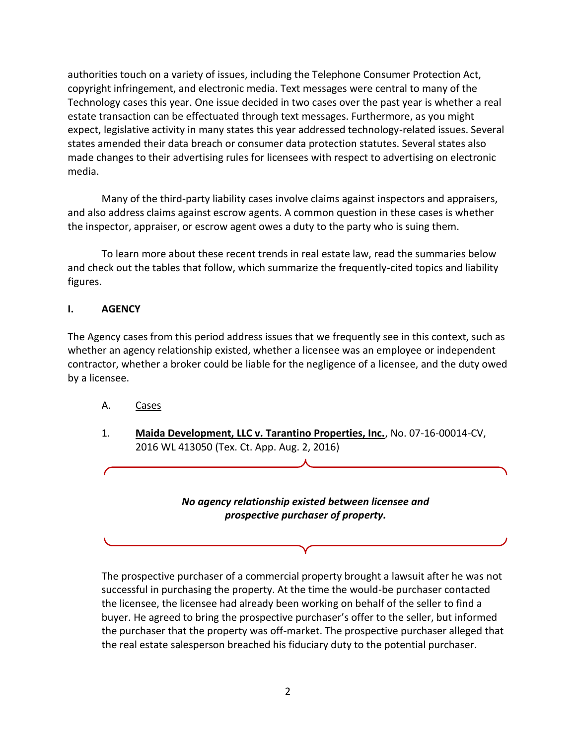authorities touch on a variety of issues, including the Telephone Consumer Protection Act, copyright infringement, and electronic media. Text messages were central to many of the Technology cases this year. One issue decided in two cases over the past year is whether a real estate transaction can be effectuated through text messages. Furthermore, as you might expect, legislative activity in many states this year addressed technology-related issues. Several states amended their data breach or consumer data protection statutes. Several states also made changes to their advertising rules for licensees with respect to advertising on electronic media.

Many of the third-party liability cases involve claims against inspectors and appraisers, and also address claims against escrow agents. A common question in these cases is whether the inspector, appraiser, or escrow agent owes a duty to the party who is suing them.

To learn more about these recent trends in real estate law, read the summaries below and check out the tables that follow, which summarize the frequently-cited topics and liability figures.

# **I. AGENCY**

The Agency cases from this period address issues that we frequently see in this context, such as whether an agency relationship existed, whether a licensee was an employee or independent contractor, whether a broker could be liable for the negligence of a licensee, and the duty owed by a licensee.

- A. Cases
- 1. **Maida Development, LLC v. Tarantino Properties, Inc.**, No. 07-16-00014-CV, 2016 WL 413050 (Tex. Ct. App. Aug. 2, 2016)

### *No agency relationship existed between licensee and prospective purchaser of property.*



The prospective purchaser of a commercial property brought a lawsuit after he was not successful in purchasing the property. At the time the would-be purchaser contacted the licensee, the licensee had already been working on behalf of the seller to find a buyer. He agreed to bring the prospective purchaser's offer to the seller, but informed the purchaser that the property was off-market. The prospective purchaser alleged that the real estate salesperson breached his fiduciary duty to the potential purchaser.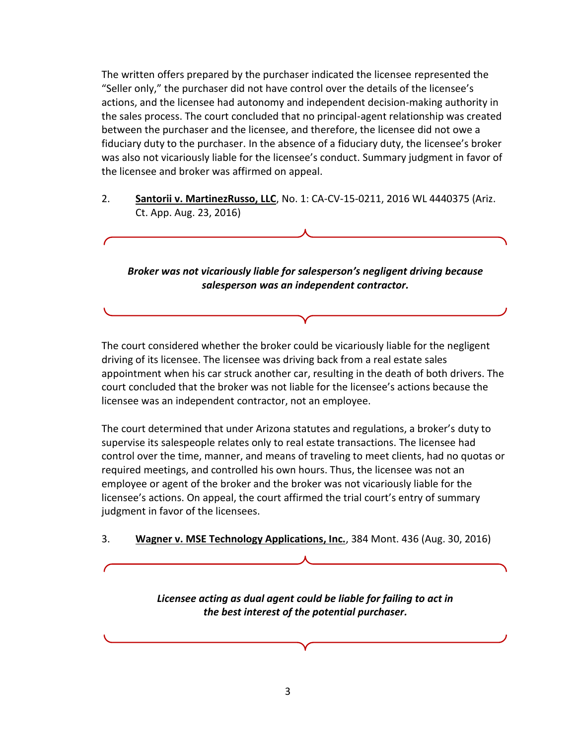The written offers prepared by the purchaser indicated the licensee represented the "Seller only," the purchaser did not have control over the details of the licensee's actions, and the licensee had autonomy and independent decision-making authority in the sales process. The court concluded that no principal-agent relationship was created between the purchaser and the licensee, and therefore, the licensee did not owe a fiduciary duty to the purchaser. In the absence of a fiduciary duty, the licensee's broker was also not vicariously liable for the licensee's conduct. Summary judgment in favor of the licensee and broker was affirmed on appeal.

2. **Santorii v. MartinezRusso, LLC**, No. 1: CA-CV-15-0211, 2016 WL 4440375 (Ariz. Ct. App. Aug. 23, 2016)

*Broker was not vicariously liable for salesperson's negligent driving because salesperson was an independent contractor.*

The court considered whether the broker could be vicariously liable for the negligent driving of its licensee. The licensee was driving back from a real estate sales appointment when his car struck another car, resulting in the death of both drivers. The court concluded that the broker was not liable for the licensee's actions because the licensee was an independent contractor, not an employee.

The court determined that under Arizona statutes and regulations, a broker's duty to supervise its salespeople relates only to real estate transactions. The licensee had control over the time, manner, and means of traveling to meet clients, had no quotas or required meetings, and controlled his own hours. Thus, the licensee was not an employee or agent of the broker and the broker was not vicariously liable for the licensee's actions. On appeal, the court affirmed the trial court's entry of summary judgment in favor of the licensees.

3. **Wagner v. MSE Technology Applications, Inc.**, 384 Mont. 436 (Aug. 30, 2016)

*Licensee acting as dual agent could be liable for failing to act in the best interest of the potential purchaser.*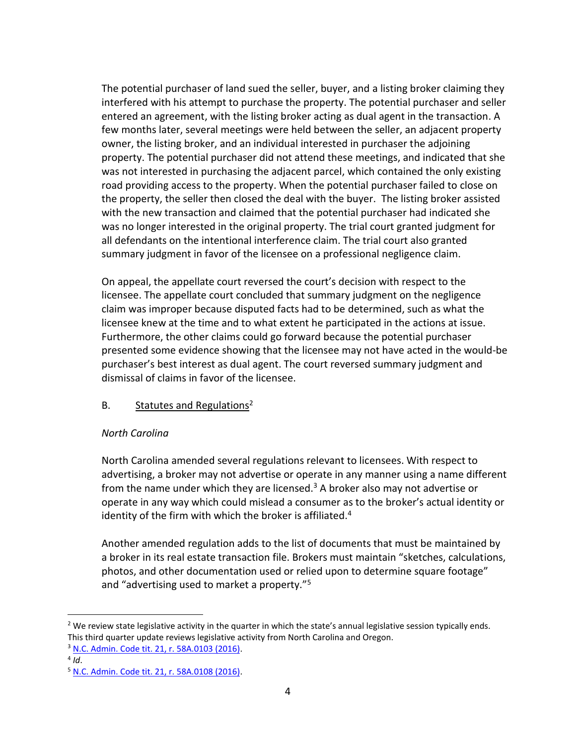The potential purchaser of land sued the seller, buyer, and a listing broker claiming they interfered with his attempt to purchase the property. The potential purchaser and seller entered an agreement, with the listing broker acting as dual agent in the transaction. A few months later, several meetings were held between the seller, an adjacent property owner, the listing broker, and an individual interested in purchaser the adjoining property. The potential purchaser did not attend these meetings, and indicated that she was not interested in purchasing the adjacent parcel, which contained the only existing road providing access to the property. When the potential purchaser failed to close on the property, the seller then closed the deal with the buyer. The listing broker assisted with the new transaction and claimed that the potential purchaser had indicated she was no longer interested in the original property. The trial court granted judgment for all defendants on the intentional interference claim. The trial court also granted summary judgment in favor of the licensee on a professional negligence claim.

On appeal, the appellate court reversed the court's decision with respect to the licensee. The appellate court concluded that summary judgment on the negligence claim was improper because disputed facts had to be determined, such as what the licensee knew at the time and to what extent he participated in the actions at issue. Furthermore, the other claims could go forward because the potential purchaser presented some evidence showing that the licensee may not have acted in the would-be purchaser's best interest as dual agent. The court reversed summary judgment and dismissal of claims in favor of the licensee.

# B. Statutes and Regulations<sup>2</sup>

# *North Carolina*

North Carolina amended several regulations relevant to licensees. With respect to advertising, a broker may not advertise or operate in any manner using a name different from the name under which they are licensed.<sup>3</sup> A broker also may not advertise or operate in any way which could mislead a consumer as to the broker's actual identity or identity of the firm with which the broker is affiliated. $4$ 

Another amended regulation adds to the list of documents that must be maintained by a broker in its real estate transaction file. Brokers must maintain "sketches, calculations, photos, and other documentation used or relied upon to determine square footage" and "advertising used to market a property."<sup>5</sup>

 $<sup>2</sup>$  We review state legislative activity in the quarter in which the state's annual legislative session typically ends.</sup> This third quarter update reviews legislative activity from North Carolina and Oregon.

<sup>3</sup> [N.C. Admin. Code tit. 21, r. 58A.0103 \(2016\).](http://reports.oah.state.nc.us/ncac/title%2021%20-%20occupational%20licensing%20boards%20and%20commissions/chapter%2058%20-%20real%20estate%20commission/subchapter%20a/21%20ncac%2058a%20.0103.pdf)

<sup>4</sup> *Id*.

<sup>5</sup> [N.C. Admin. Code tit. 21, r. 58A.0108 \(2016\).](http://reports.oah.state.nc.us/ncac/title%2021%20-%20occupational%20licensing%20boards%20and%20commissions/chapter%2058%20-%20real%20estate%20commission/subchapter%20a/21%20ncac%2058a%20.0108.pdf)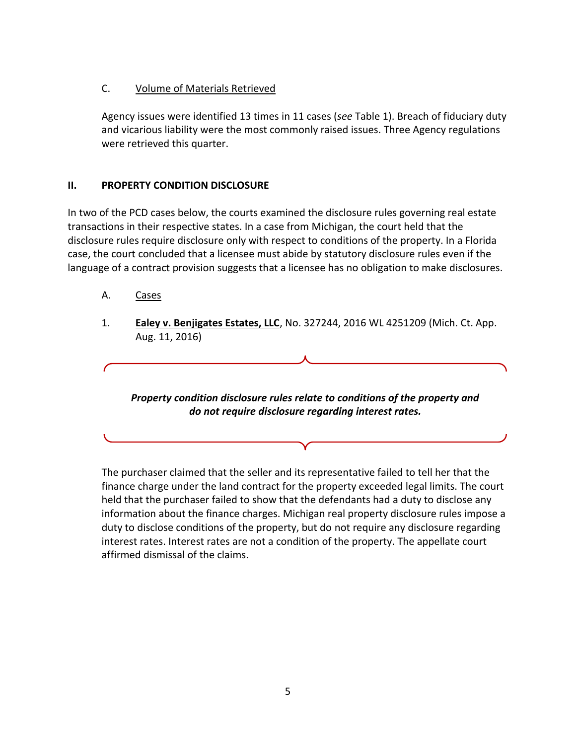# C. Volume of Materials Retrieved

Agency issues were identified 13 times in 11 cases (*see* Table 1). Breach of fiduciary duty and vicarious liability were the most commonly raised issues. Three Agency regulations were retrieved this quarter.

# **II. PROPERTY CONDITION DISCLOSURE**

In two of the PCD cases below, the courts examined the disclosure rules governing real estate transactions in their respective states. In a case from Michigan, the court held that the disclosure rules require disclosure only with respect to conditions of the property. In a Florida case, the court concluded that a licensee must abide by statutory disclosure rules even if the language of a contract provision suggests that a licensee has no obligation to make disclosures.

- A. Cases
- 1. **Ealey v. Benjigates Estates, LLC**, No. 327244, 2016 WL 4251209 (Mich. Ct. App. Aug. 11, 2016)

*Property condition disclosure rules relate to conditions of the property and do not require disclosure regarding interest rates.*

The purchaser claimed that the seller and its representative failed to tell her that the finance charge under the land contract for the property exceeded legal limits. The court held that the purchaser failed to show that the defendants had a duty to disclose any information about the finance charges. Michigan real property disclosure rules impose a duty to disclose conditions of the property, but do not require any disclosure regarding interest rates. Interest rates are not a condition of the property. The appellate court affirmed dismissal of the claims.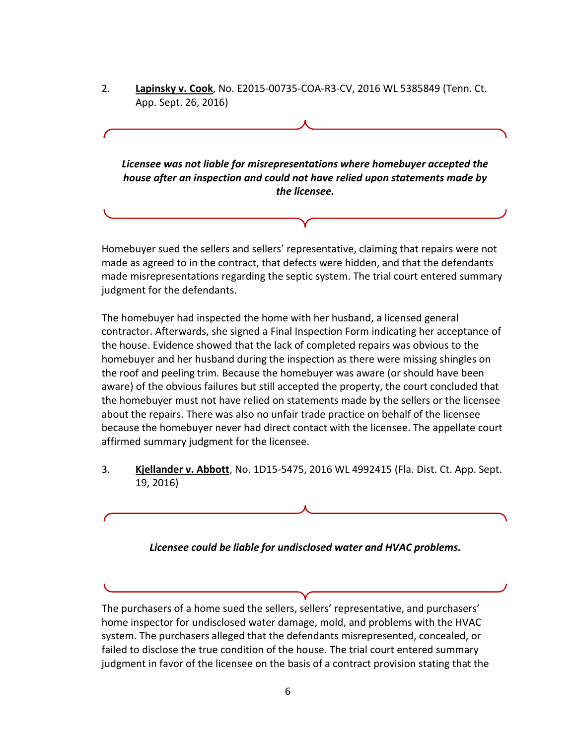2. **Lapinsky v. Cook**, No. E2015-00735-COA-R3-CV, 2016 WL 5385849 (Tenn. Ct. App. Sept. 26, 2016)

*Licensee was not liable for misrepresentations where homebuyer accepted the house after an inspection and could not have relied upon statements made by the licensee.*

Homebuyer sued the sellers and sellers' representative, claiming that repairs were not made as agreed to in the contract, that defects were hidden, and that the defendants made misrepresentations regarding the septic system. The trial court entered summary judgment for the defendants.

The homebuyer had inspected the home with her husband, a licensed general contractor. Afterwards, she signed a Final Inspection Form indicating her acceptance of the house. Evidence showed that the lack of completed repairs was obvious to the homebuyer and her husband during the inspection as there were missing shingles on the roof and peeling trim. Because the homebuyer was aware (or should have been aware) of the obvious failures but still accepted the property, the court concluded that the homebuyer must not have relied on statements made by the sellers or the licensee about the repairs. There was also no unfair trade practice on behalf of the licensee because the homebuyer never had direct contact with the licensee. The appellate court affirmed summary judgment for the licensee.

3. **Kjellander v. Abbott**, No. 1D15-5475, 2016 WL 4992415 (Fla. Dist. Ct. App. Sept. 19, 2016)

*Licensee could be liable for undisclosed water and HVAC problems.*

The purchasers of a home sued the sellers, sellers' representative, and purchasers' home inspector for undisclosed water damage, mold, and problems with the HVAC system. The purchasers alleged that the defendants misrepresented, concealed, or failed to disclose the true condition of the house. The trial court entered summary judgment in favor of the licensee on the basis of a contract provision stating that the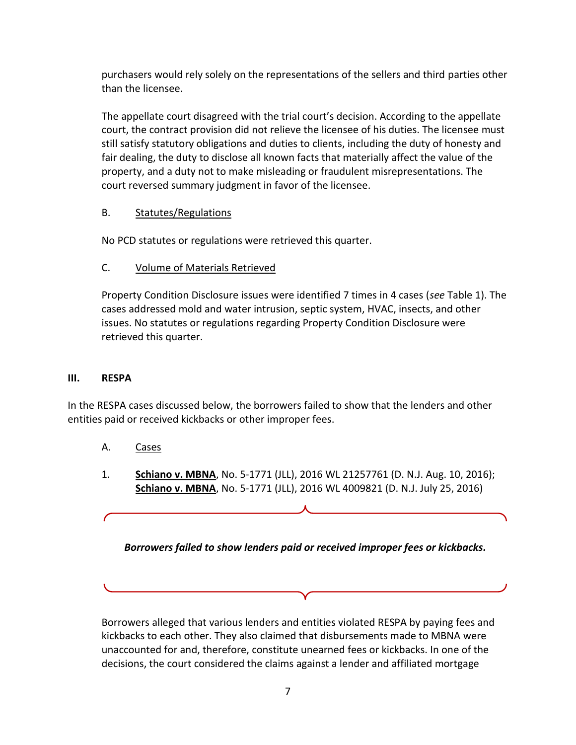purchasers would rely solely on the representations of the sellers and third parties other than the licensee.

The appellate court disagreed with the trial court's decision. According to the appellate court, the contract provision did not relieve the licensee of his duties. The licensee must still satisfy statutory obligations and duties to clients, including the duty of honesty and fair dealing, the duty to disclose all known facts that materially affect the value of the property, and a duty not to make misleading or fraudulent misrepresentations. The court reversed summary judgment in favor of the licensee.

# B. Statutes/Regulations

No PCD statutes or regulations were retrieved this quarter.

# C. Volume of Materials Retrieved

Property Condition Disclosure issues were identified 7 times in 4 cases (*see* Table 1). The cases addressed mold and water intrusion, septic system, HVAC, insects, and other issues. No statutes or regulations regarding Property Condition Disclosure were retrieved this quarter.

# **III. RESPA**

In the RESPA cases discussed below, the borrowers failed to show that the lenders and other entities paid or received kickbacks or other improper fees.

- A. Cases
- 1. **Schiano v. MBNA**, No. 5-1771 (JLL), 2016 WL 21257761 (D. N.J. Aug. 10, 2016); **Schiano v. MBNA**, No. 5-1771 (JLL), 2016 WL 4009821 (D. N.J. July 25, 2016)

*Borrowers failed to show lenders paid or received improper fees or kickbacks.*

Borrowers alleged that various lenders and entities violated RESPA by paying fees and kickbacks to each other. They also claimed that disbursements made to MBNA were unaccounted for and, therefore, constitute unearned fees or kickbacks. In one of the decisions, the court considered the claims against a lender and affiliated mortgage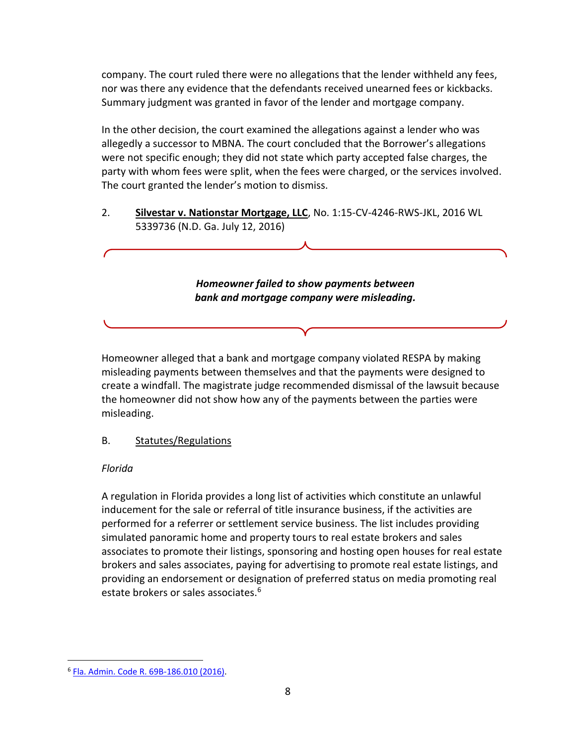company. The court ruled there were no allegations that the lender withheld any fees, nor was there any evidence that the defendants received unearned fees or kickbacks. Summary judgment was granted in favor of the lender and mortgage company.

In the other decision, the court examined the allegations against a lender who was allegedly a successor to MBNA. The court concluded that the Borrower's allegations were not specific enough; they did not state which party accepted false charges, the party with whom fees were split, when the fees were charged, or the services involved. The court granted the lender's motion to dismiss.

2. **Silvestar v. Nationstar Mortgage, LLC**, No. 1:15-CV-4246-RWS-JKL, 2016 WL 5339736 (N.D. Ga. July 12, 2016)

> *Homeowner failed to show payments between bank and mortgage company were misleading.*

Homeowner alleged that a bank and mortgage company violated RESPA by making misleading payments between themselves and that the payments were designed to create a windfall. The magistrate judge recommended dismissal of the lawsuit because the homeowner did not show how any of the payments between the parties were misleading.

# B. Statutes/Regulations

# *Florida*

A regulation in Florida provides a long list of activities which constitute an unlawful inducement for the sale or referral of title insurance business, if the activities are performed for a referrer or settlement service business. The list includes providing simulated panoramic home and property tours to real estate brokers and sales associates to promote their listings, sponsoring and hosting open houses for real estate brokers and sales associates, paying for advertising to promote real estate listings, and providing an endorsement or designation of preferred status on media promoting real estate brokers or sales associates.<sup>6</sup>

<sup>6</sup> [Fla. Admin. Code R. 69B-186.010 \(2016\).](https://www.flrules.org/gateway/readFile.asp?sid=0&tid=17080068&type=1&file=69B-186.010.doc)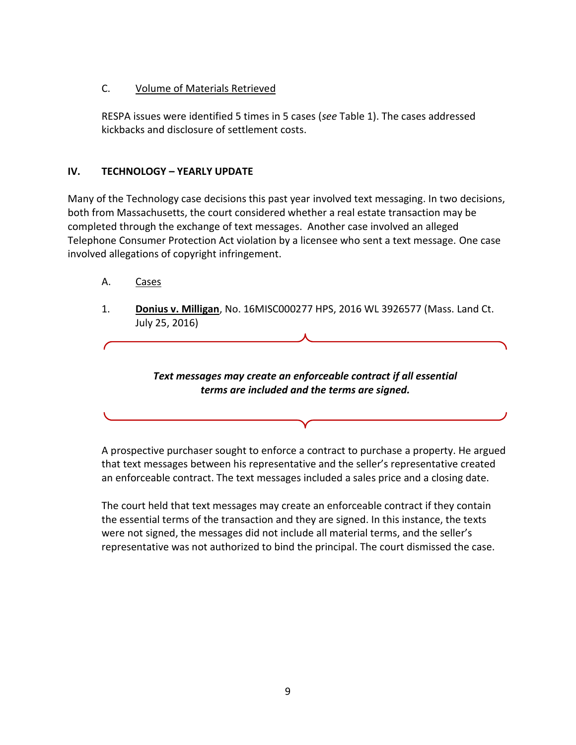# C. Volume of Materials Retrieved

RESPA issues were identified 5 times in 5 cases (*see* Table 1). The cases addressed kickbacks and disclosure of settlement costs.

# **IV. TECHNOLOGY – YEARLY UPDATE**

Many of the Technology case decisions this past year involved text messaging. In two decisions, both from Massachusetts, the court considered whether a real estate transaction may be completed through the exchange of text messages. Another case involved an alleged Telephone Consumer Protection Act violation by a licensee who sent a text message. One case involved allegations of copyright infringement.

- A. Cases
- 1. **Donius v. Milligan**, No. 16MISC000277 HPS, 2016 WL 3926577 (Mass. Land Ct. July 25, 2016)

*Text messages may create an enforceable contract if all essential terms are included and the terms are signed.*

A prospective purchaser sought to enforce a contract to purchase a property. He argued that text messages between his representative and the seller's representative created

The court held that text messages may create an enforceable contract if they contain the essential terms of the transaction and they are signed. In this instance, the texts were not signed, the messages did not include all material terms, and the seller's representative was not authorized to bind the principal. The court dismissed the case.

an enforceable contract. The text messages included a sales price and a closing date.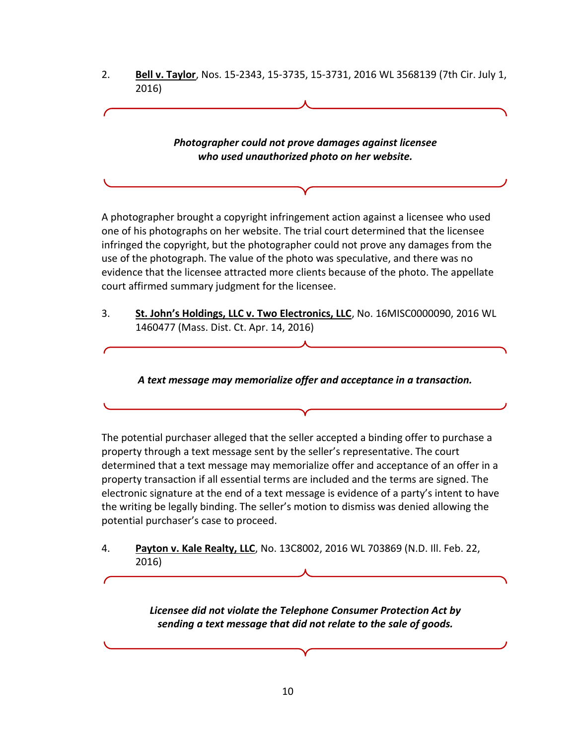2. **Bell v. Taylor**, Nos. 15-2343, 15-3735, 15-3731, 2016 WL 3568139 (7th Cir. July 1, 2016)

> *Photographer could not prove damages against licensee who used unauthorized photo on her website.*

A photographer brought a copyright infringement action against a licensee who used one of his photographs on her website. The trial court determined that the licensee infringed the copyright, but the photographer could not prove any damages from the use of the photograph. The value of the photo was speculative, and there was no evidence that the licensee attracted more clients because of the photo. The appellate court affirmed summary judgment for the licensee.

3. **St. John's Holdings, LLC v. Two Electronics, LLC**, No. 16MISC0000090, 2016 WL 1460477 (Mass. Dist. Ct. Apr. 14, 2016)

*A text message may memorialize offer and acceptance in a transaction.*

The potential purchaser alleged that the seller accepted a binding offer to purchase a property through a text message sent by the seller's representative. The court determined that a text message may memorialize offer and acceptance of an offer in a property transaction if all essential terms are included and the terms are signed. The electronic signature at the end of a text message is evidence of a party's intent to have the writing be legally binding. The seller's motion to dismiss was denied allowing the potential purchaser's case to proceed.

4. **Payton v. Kale Realty, LLC**, No. 13C8002, 2016 WL 703869 (N.D. Ill. Feb. 22, 2016)

> *Licensee did not violate the Telephone Consumer Protection Act by sending a text message that did not relate to the sale of goods.*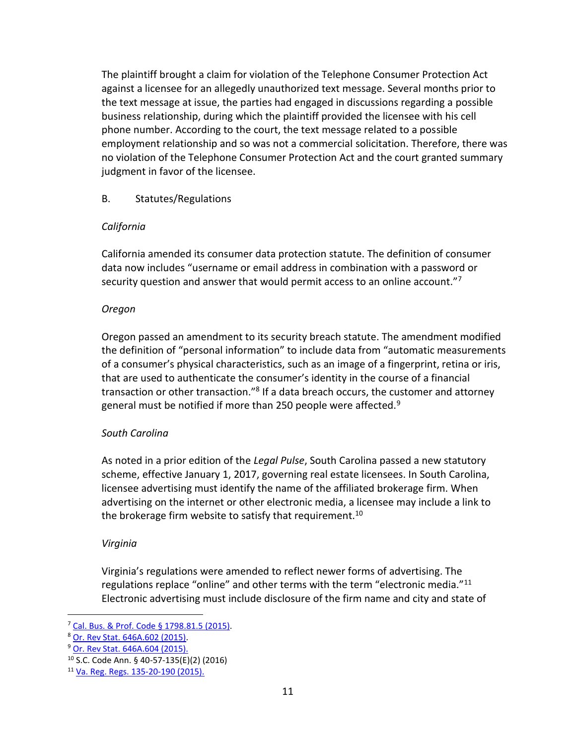The plaintiff brought a claim for violation of the Telephone Consumer Protection Act against a licensee for an allegedly unauthorized text message. Several months prior to the text message at issue, the parties had engaged in discussions regarding a possible business relationship, during which the plaintiff provided the licensee with his cell phone number. According to the court, the text message related to a possible employment relationship and so was not a commercial solicitation. Therefore, there was no violation of the Telephone Consumer Protection Act and the court granted summary judgment in favor of the licensee.

# B. Statutes/Regulations

### *California*

California amended its consumer data protection statute. The definition of consumer data now includes "username or email address in combination with a password or security question and answer that would permit access to an online account."<sup>7</sup>

### *Oregon*

Oregon passed an amendment to its security breach statute. The amendment modified the definition of "personal information" to include data from "automatic measurements of a consumer's physical characteristics, such as an image of a fingerprint, retina or iris, that are used to authenticate the consumer's identity in the course of a financial transaction or other transaction."<sup>8</sup> If a data breach occurs, the customer and attorney general must be notified if more than 250 people were affected.<sup>9</sup>

# *South Carolina*

As noted in a prior edition of the *Legal Pulse*, South Carolina passed a new statutory scheme, effective January 1, 2017, governing real estate licensees. In South Carolina, licensee advertising must identify the name of the affiliated brokerage firm. When advertising on the internet or other electronic media, a licensee may include a link to the brokerage firm website to satisfy that requirement.<sup>10</sup>

#### *Virginia*

Virginia's regulations were amended to reflect newer forms of advertising. The regulations replace "online" and other terms with the term "electronic media."<sup>11</sup> Electronic advertising must include disclosure of the firm name and city and state of

<sup>7</sup> [Cal. Bus. & Prof. Code § 1798.81.5 \(2015\).](http://www.leginfo.ca.gov/cgi-bin/displaycode?section=civ&group=01001-02000&file=1798.80-1798.84)

<sup>8</sup> [Or. Rev Stat. 646A.602 \(2015\).](http://www.oregonlaws.org/ors/646A.602)

<sup>9</sup> [Or. Rev Stat. 646A.604 \(2015\).](http://www.oregonlaws.org/ors/646A.604)

<sup>10</sup> S.C. Code Ann. § 40-57-135(E)(2) (2016)

<sup>11</sup> [Va. Reg. Regs. 135-20-190 \(2015\).](http://law.lis.virginia.gov/admincode/title18/agency135/chapter20/section190/)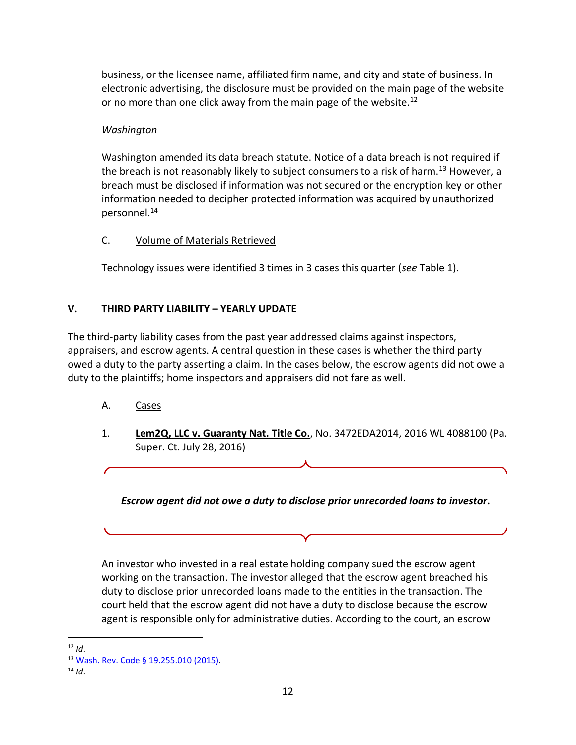business, or the licensee name, affiliated firm name, and city and state of business. In electronic advertising, the disclosure must be provided on the main page of the website or no more than one click away from the main page of the website.<sup>12</sup>

# *Washington*

Washington amended its data breach statute. Notice of a data breach is not required if the breach is not reasonably likely to subject consumers to a risk of harm.<sup>13</sup> However, a breach must be disclosed if information was not secured or the encryption key or other information needed to decipher protected information was acquired by unauthorized personnel.<sup>14</sup>

# C. Volume of Materials Retrieved

Technology issues were identified 3 times in 3 cases this quarter (*see* Table 1).

# **V. THIRD PARTY LIABILITY – YEARLY UPDATE**

The third-party liability cases from the past year addressed claims against inspectors, appraisers, and escrow agents. A central question in these cases is whether the third party owed a duty to the party asserting a claim. In the cases below, the escrow agents did not owe a duty to the plaintiffs; home inspectors and appraisers did not fare as well.

- A. Cases
- 1. **Lem2Q, LLC v. Guaranty Nat. Title Co.**, No. 3472EDA2014, 2016 WL 4088100 (Pa. Super. Ct. July 28, 2016)

*Escrow agent did not owe a duty to disclose prior unrecorded loans to investor.*

An investor who invested in a real estate holding company sued the escrow agent working on the transaction. The investor alleged that the escrow agent breached his duty to disclose prior unrecorded loans made to the entities in the transaction. The court held that the escrow agent did not have a duty to disclose because the escrow agent is responsible only for administrative duties. According to the court, an escrow

<sup>12</sup> *Id*.

<sup>13</sup> [Wash. Rev. Code § 19.255.010 \(2015\).](http://apps.leg.wa.gov/rcw/default.aspx?cite=19.255.010)

<sup>14</sup> *Id*.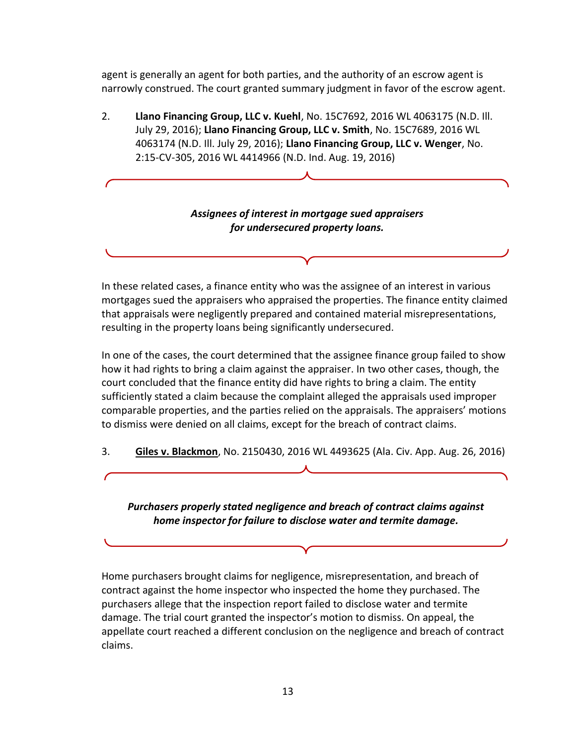agent is generally an agent for both parties, and the authority of an escrow agent is narrowly construed. The court granted summary judgment in favor of the escrow agent.

2. **Llano Financing Group, LLC v. Kuehl**, No. 15C7692, 2016 WL 4063175 (N.D. Ill. July 29, 2016); **Llano Financing Group, LLC v. Smith**, No. 15C7689, 2016 WL 4063174 (N.D. Ill. July 29, 2016); **Llano Financing Group, LLC v. Wenger**, No. 2:15-CV-305, 2016 WL 4414966 (N.D. Ind. Aug. 19, 2016)

# *Assignees of interest in mortgage sued appraisers for undersecured property loans.*

In these related cases, a finance entity who was the assignee of an interest in various mortgages sued the appraisers who appraised the properties. The finance entity claimed that appraisals were negligently prepared and contained material misrepresentations, resulting in the property loans being significantly undersecured.

In one of the cases, the court determined that the assignee finance group failed to show how it had rights to bring a claim against the appraiser. In two other cases, though, the court concluded that the finance entity did have rights to bring a claim. The entity sufficiently stated a claim because the complaint alleged the appraisals used improper comparable properties, and the parties relied on the appraisals. The appraisers' motions to dismiss were denied on all claims, except for the breach of contract claims.

3. **Giles v. Blackmon**, No. 2150430, 2016 WL 4493625 (Ala. Civ. App. Aug. 26, 2016)

*Purchasers properly stated negligence and breach of contract claims against home inspector for failure to disclose water and termite damage.*

Home purchasers brought claims for negligence, misrepresentation, and breach of contract against the home inspector who inspected the home they purchased. The purchasers allege that the inspection report failed to disclose water and termite damage. The trial court granted the inspector's motion to dismiss. On appeal, the appellate court reached a different conclusion on the negligence and breach of contract claims.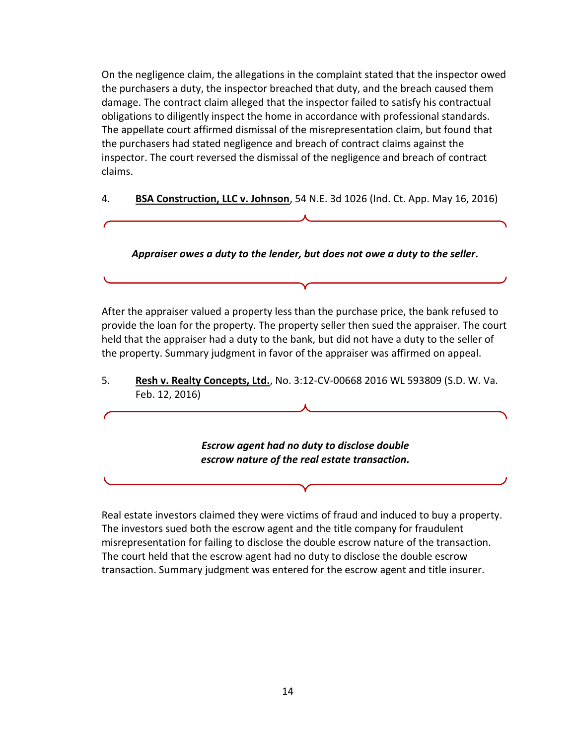On the negligence claim, the allegations in the complaint stated that the inspector owed the purchasers a duty, the inspector breached that duty, and the breach caused them damage. The contract claim alleged that the inspector failed to satisfy his contractual obligations to diligently inspect the home in accordance with professional standards. The appellate court affirmed dismissal of the misrepresentation claim, but found that the purchasers had stated negligence and breach of contract claims against the inspector. The court reversed the dismissal of the negligence and breach of contract claims.

4. **BSA Construction, LLC v. Johnson**, 54 N.E. 3d 1026 (Ind. Ct. App. May 16, 2016)

*Appraiser owes a duty to the lender, but does not owe a duty to the seller.*

After the appraiser valued a property less than the purchase price, the bank refused to provide the loan for the property. The property seller then sued the appraiser. The court held that the appraiser had a duty to the bank, but did not have a duty to the seller of the property. Summary judgment in favor of the appraiser was affirmed on appeal.

5. **Resh v. Realty Concepts, Ltd.**, No. 3:12-CV-00668 2016 WL 593809 (S.D. W. Va. Feb. 12, 2016)

> *Escrow agent had no duty to disclose double escrow nature of the real estate transaction.*

Real estate investors claimed they were victims of fraud and induced to buy a property. The investors sued both the escrow agent and the title company for fraudulent misrepresentation for failing to disclose the double escrow nature of the transaction. The court held that the escrow agent had no duty to disclose the double escrow transaction. Summary judgment was entered for the escrow agent and title insurer.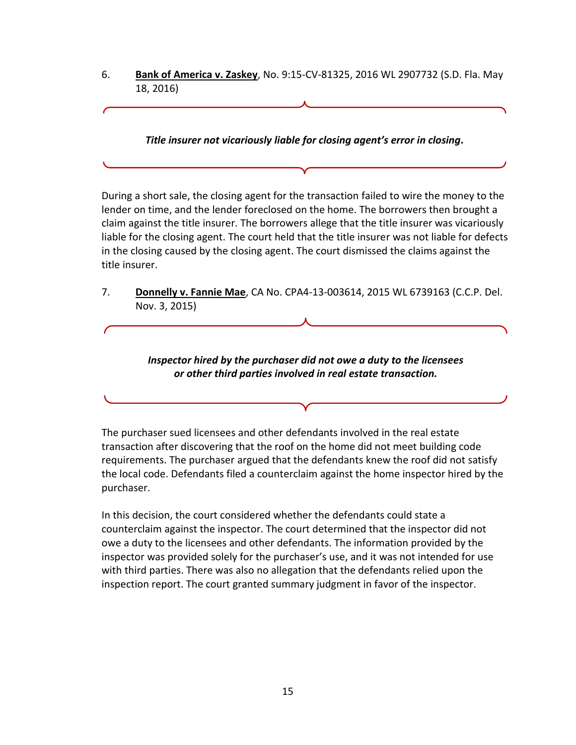6. **Bank of America v. Zaskey**, No. 9:15-CV-81325, 2016 WL 2907732 (S.D. Fla. May 18, 2016)

*Title insurer not vicariously liable for closing agent's error in closing.*

During a short sale, the closing agent for the transaction failed to wire the money to the lender on time, and the lender foreclosed on the home. The borrowers then brought a claim against the title insurer. The borrowers allege that the title insurer was vicariously liable for the closing agent. The court held that the title insurer was not liable for defects in the closing caused by the closing agent. The court dismissed the claims against the title insurer.

7. **Donnelly v. Fannie Mae**, CA No. CPA4-13-003614, 2015 WL 6739163 (C.C.P. Del. Nov. 3, 2015)

# *Inspector hired by the purchaser did not owe a duty to the licensees or other third parties involved in real estate transaction.*

The purchaser sued licensees and other defendants involved in the real estate transaction after discovering that the roof on the home did not meet building code requirements. The purchaser argued that the defendants knew the roof did not satisfy the local code. Defendants filed a counterclaim against the home inspector hired by the purchaser.

In this decision, the court considered whether the defendants could state a counterclaim against the inspector. The court determined that the inspector did not owe a duty to the licensees and other defendants. The information provided by the inspector was provided solely for the purchaser's use, and it was not intended for use with third parties. There was also no allegation that the defendants relied upon the inspection report. The court granted summary judgment in favor of the inspector.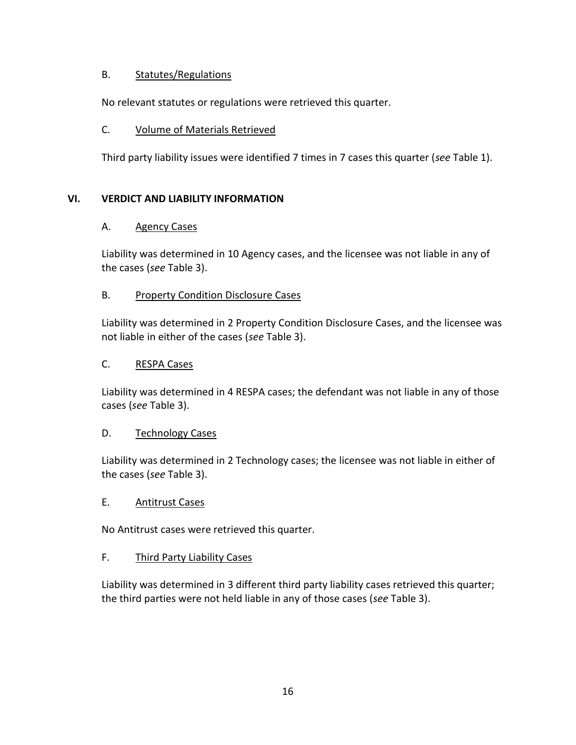# B. Statutes/Regulations

No relevant statutes or regulations were retrieved this quarter.

# C. Volume of Materials Retrieved

Third party liability issues were identified 7 times in 7 cases this quarter (*see* Table 1).

# **VI. VERDICT AND LIABILITY INFORMATION**

# A. Agency Cases

Liability was determined in 10 Agency cases, and the licensee was not liable in any of the cases (*see* Table 3).

# B. Property Condition Disclosure Cases

Liability was determined in 2 Property Condition Disclosure Cases, and the licensee was not liable in either of the cases (*see* Table 3).

# C. RESPA Cases

Liability was determined in 4 RESPA cases; the defendant was not liable in any of those cases (*see* Table 3).

# D. Technology Cases

Liability was determined in 2 Technology cases; the licensee was not liable in either of the cases (*see* Table 3).

# E. Antitrust Cases

No Antitrust cases were retrieved this quarter.

# F. Third Party Liability Cases

Liability was determined in 3 different third party liability cases retrieved this quarter; the third parties were not held liable in any of those cases (*see* Table 3).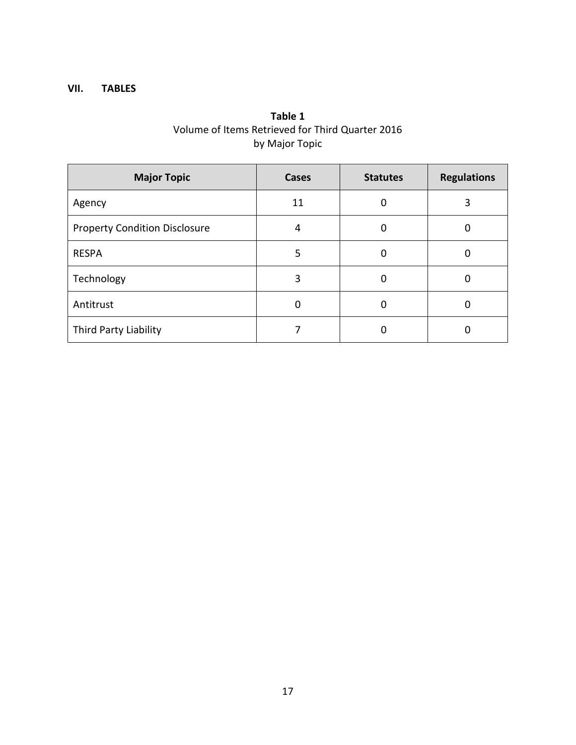# **VII. TABLES**

# **Table 1** Volume of Items Retrieved for Third Quarter 2016 by Major Topic

| <b>Major Topic</b>                   | <b>Cases</b> | <b>Statutes</b> | <b>Regulations</b> |
|--------------------------------------|--------------|-----------------|--------------------|
| Agency                               | 11           | 0               | 3                  |
| <b>Property Condition Disclosure</b> | 4            | 0               |                    |
| <b>RESPA</b>                         | 5            | 0               |                    |
| Technology                           | 3            | 0               |                    |
| Antitrust                            | 0            | 0               |                    |
| Third Party Liability                |              | 0               |                    |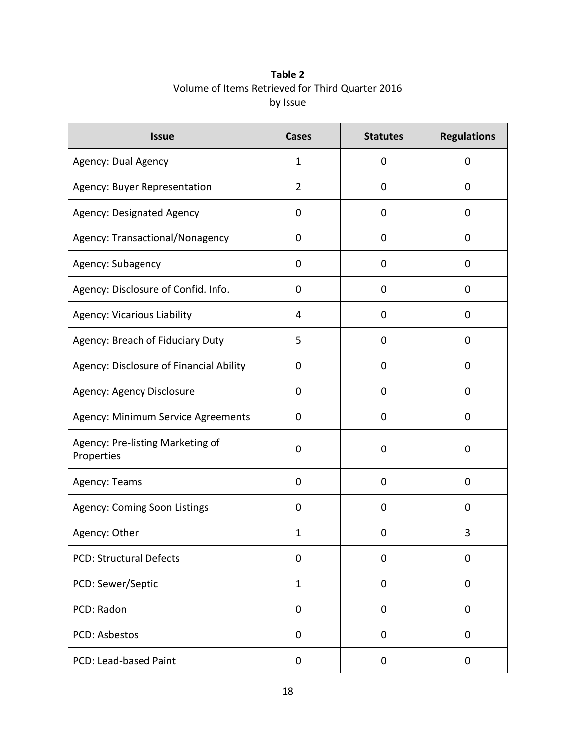| Table 2                                          |
|--------------------------------------------------|
| Volume of Items Retrieved for Third Quarter 2016 |
| by Issue                                         |

| <b>Issue</b>                                   | <b>Cases</b>   | <b>Statutes</b> | <b>Regulations</b> |
|------------------------------------------------|----------------|-----------------|--------------------|
| Agency: Dual Agency                            | 1              | 0               | 0                  |
| Agency: Buyer Representation                   | $\overline{2}$ | 0               | 0                  |
| <b>Agency: Designated Agency</b>               | 0              | 0               | 0                  |
| Agency: Transactional/Nonagency                | 0              | 0               | 0                  |
| Agency: Subagency                              | 0              | 0               | 0                  |
| Agency: Disclosure of Confid. Info.            | 0              | 0               | 0                  |
| <b>Agency: Vicarious Liability</b>             | 4              | 0               | 0                  |
| Agency: Breach of Fiduciary Duty               | 5              | 0               | $\mathbf 0$        |
| Agency: Disclosure of Financial Ability        | 0              | 0               | 0                  |
| Agency: Agency Disclosure                      | 0              | 0               | 0                  |
| Agency: Minimum Service Agreements             | 0              | 0               | $\mathbf 0$        |
| Agency: Pre-listing Marketing of<br>Properties | 0              | 0               | 0                  |
| Agency: Teams                                  | 0              | 0               | $\mathbf 0$        |
| Agency: Coming Soon Listings                   | 0              | 0               | 0                  |
| Agency: Other                                  | $\mathbf{1}$   | 0               | 3                  |
| <b>PCD: Structural Defects</b>                 | 0              | $\mathbf 0$     | $\mathbf 0$        |
| PCD: Sewer/Septic                              | $\mathbf{1}$   | 0               | $\mathbf 0$        |
| PCD: Radon                                     | 0              | 0               | 0                  |
| <b>PCD: Asbestos</b>                           | 0              | 0               | $\mathbf 0$        |
| PCD: Lead-based Paint                          | 0              | 0               | 0                  |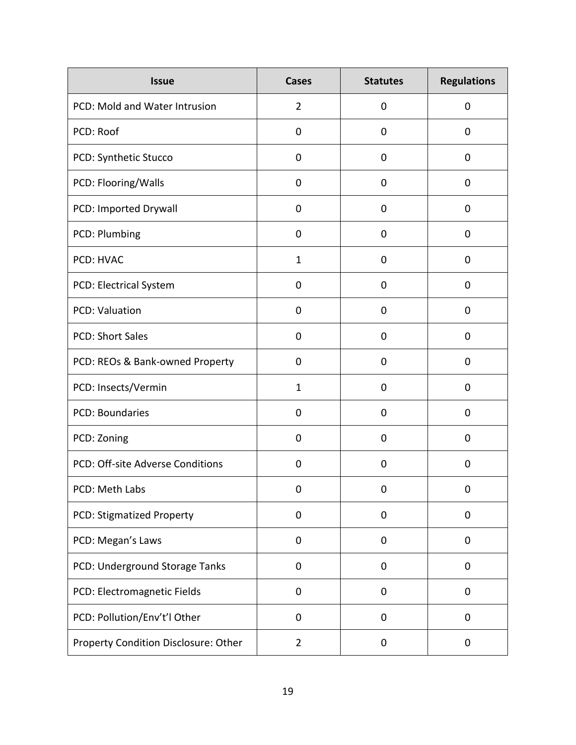| <b>Issue</b>                         | <b>Cases</b>   | <b>Statutes</b> | <b>Regulations</b> |
|--------------------------------------|----------------|-----------------|--------------------|
| PCD: Mold and Water Intrusion        | $\overline{2}$ | $\mathbf 0$     | $\mathbf 0$        |
| PCD: Roof                            | 0              | 0               | 0                  |
| PCD: Synthetic Stucco                | 0              | $\mathbf 0$     | $\mathbf 0$        |
| PCD: Flooring/Walls                  | 0              | $\mathbf 0$     | $\mathbf 0$        |
| PCD: Imported Drywall                | 0              | 0               | $\mathbf 0$        |
| PCD: Plumbing                        | 0              | $\mathbf 0$     | $\mathbf 0$        |
| PCD: HVAC                            | $\mathbf{1}$   | $\mathbf 0$     | $\mathbf 0$        |
| PCD: Electrical System               | 0              | $\mathbf 0$     | $\mathbf 0$        |
| <b>PCD: Valuation</b>                | 0              | $\overline{0}$  | $\mathbf 0$        |
| <b>PCD: Short Sales</b>              | 0              | $\mathbf 0$     | $\mathbf 0$        |
| PCD: REOs & Bank-owned Property      | 0              | $\mathbf 0$     | $\mathbf 0$        |
| PCD: Insects/Vermin                  | $\mathbf{1}$   | 0               | 0                  |
| <b>PCD: Boundaries</b>               | 0              | 0               | 0                  |
| PCD: Zoning                          | 0              | 0               | 0                  |
| PCD: Off-site Adverse Conditions     | $\mathbf 0$    | $\mathbf 0$     | $\mathbf 0$        |
| PCD: Meth Labs                       | 0              | $\mathbf 0$     | 0                  |
| PCD: Stigmatized Property            | 0              | 0               | $\mathbf 0$        |
| PCD: Megan's Laws                    | 0              | 0               | $\mathbf 0$        |
| PCD: Underground Storage Tanks       | 0              | 0               | $\mathbf 0$        |
| PCD: Electromagnetic Fields          | 0              | 0               | $\mathbf 0$        |
| PCD: Pollution/Env't'l Other         | 0              | 0               | $\mathbf 0$        |
| Property Condition Disclosure: Other | $\overline{2}$ | 0               | 0                  |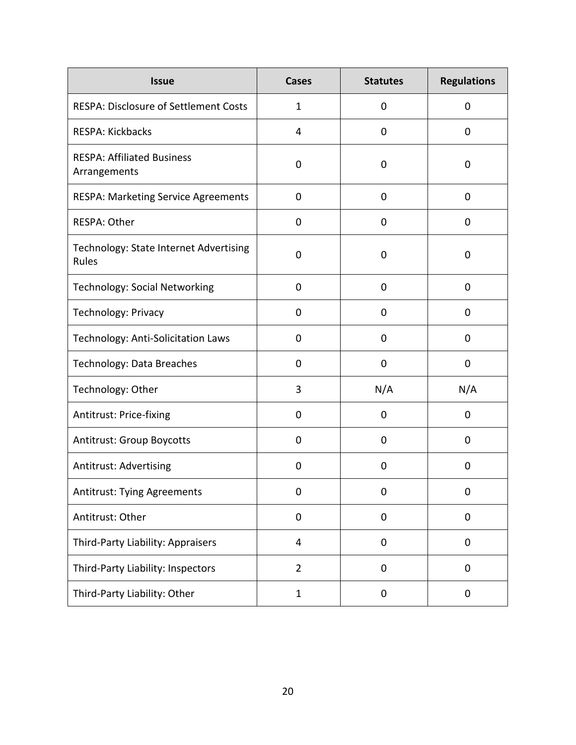| <b>Issue</b>                                      | <b>Cases</b>   | <b>Statutes</b> | <b>Regulations</b> |
|---------------------------------------------------|----------------|-----------------|--------------------|
| <b>RESPA: Disclosure of Settlement Costs</b>      | $\mathbf{1}$   | 0               | 0                  |
| RESPA: Kickbacks                                  | 4              | 0               | 0                  |
| <b>RESPA: Affiliated Business</b><br>Arrangements | 0              | 0               | 0                  |
| <b>RESPA: Marketing Service Agreements</b>        | $\mathbf 0$    | 0               | 0                  |
| RESPA: Other                                      | 0              | 0               | 0                  |
| Technology: State Internet Advertising<br>Rules   | 0              | 0               | 0                  |
| <b>Technology: Social Networking</b>              | $\mathbf 0$    | 0               | 0                  |
| Technology: Privacy                               | 0              | 0               | 0                  |
| Technology: Anti-Solicitation Laws                | 0              | 0               | 0                  |
| Technology: Data Breaches                         | 0              | 0               | 0                  |
| Technology: Other                                 | 3              | N/A             | N/A                |
| Antitrust: Price-fixing                           | 0              | 0               | 0                  |
| <b>Antitrust: Group Boycotts</b>                  | 0              | 0               | 0                  |
| Antitrust: Advertising                            | 0              | 0               | 0                  |
| <b>Antitrust: Tying Agreements</b>                | 0              | 0               | 0                  |
| Antitrust: Other                                  | $\pmb{0}$      | 0               | $\pmb{0}$          |
| Third-Party Liability: Appraisers                 | $\overline{4}$ | 0               | 0                  |
| Third-Party Liability: Inspectors                 | $\overline{2}$ | 0               | 0                  |
| Third-Party Liability: Other                      | 1              | 0               | 0                  |